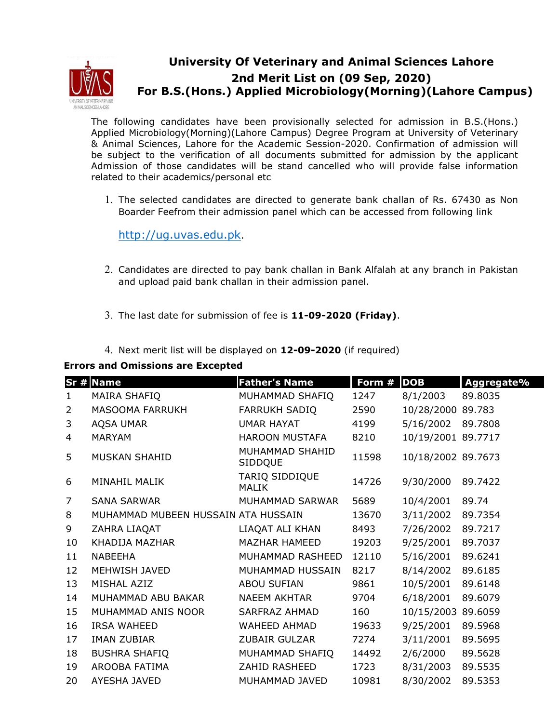

## **University Of Veterinary and Animal Sciences Lahore 2nd Merit List on (09 Sep, 2020) For B.S.(Hons.) Applied Microbiology(Morning)(Lahore Campus)**

The following candidates have been provisionally selected for admission in B.S.(Hons.) Applied Microbiology(Morning)(Lahore Campus) Degree Program at University of Veterinary & Animal Sciences, Lahore for the Academic Session-2020. Confirmation of admission will be subject to the verification of all documents submitted for admission by the applicant Admission of those candidates will be stand cancelled who will provide false information related to their academics/personal etc

1. The selected candidates are directed to generate bank challan of Rs. 67430 as Non Boarder Feefrom their admission panel which can be accessed from following link

http://ug.uvas.edu.pk.

- 2. Candidates are directed to pay bank challan in Bank Alfalah at any branch in Pakistan and upload paid bank challan in their admission panel.
- 3. The last date for submission of fee is **11-09-2020 (Friday)**.
- 4. Next merit list will be displayed on **12-09-2020** (if required)

## **Errors and Omissions are Excepted**

|                | Sr # Name                           | <b>Father's Name</b>           | Form # | <b>DOB</b>         | Aggregate% |
|----------------|-------------------------------------|--------------------------------|--------|--------------------|------------|
| $\mathbf{1}$   | MAIRA SHAFIQ                        | MUHAMMAD SHAFIQ                | 1247   | 8/1/2003           | 89.8035    |
| $\overline{2}$ | MASOOMA FARRUKH                     | <b>FARRUKH SADIQ</b>           | 2590   | 10/28/2000         | 89.783     |
| 3              | <b>AQSA UMAR</b>                    | <b>UMAR HAYAT</b>              | 4199   | 5/16/2002          | 89.7808    |
| 4              | <b>MARYAM</b>                       | <b>HAROON MUSTAFA</b>          | 8210   | 10/19/2001 89.7717 |            |
| 5              | MUSKAN SHAHID                       | MUHAMMAD SHAHID<br>SIDDQUE     | 11598  | 10/18/2002 89.7673 |            |
| 6              | MINAHIL MALIK                       | TARIQ SIDDIQUE<br><b>MALIK</b> | 14726  | 9/30/2000          | 89.7422    |
| 7              | <b>SANA SARWAR</b>                  | MUHAMMAD SARWAR                | 5689   | 10/4/2001          | 89.74      |
| 8              | MUHAMMAD MUBEEN HUSSAIN ATA HUSSAIN |                                | 13670  | 3/11/2002          | 89.7354    |
| 9              | ZAHRA LIAQAT                        | LIAQAT ALI KHAN                | 8493   | 7/26/2002          | 89.7217    |
| 10             | KHADIJA MAZHAR                      | <b>MAZHAR HAMEED</b>           | 19203  | 9/25/2001          | 89.7037    |
| 11             | NABEEHA                             | MUHAMMAD RASHEED               | 12110  | 5/16/2001          | 89.6241    |
| 12             | <b>MEHWISH JAVED</b>                | MUHAMMAD HUSSAIN               | 8217   | 8/14/2002          | 89.6185    |
| 13             | MISHAL AZIZ                         | <b>ABOU SUFIAN</b>             | 9861   | 10/5/2001          | 89.6148    |
| 14             | MUHAMMAD ABU BAKAR                  | <b>NAEEM AKHTAR</b>            | 9704   | 6/18/2001          | 89.6079    |
| 15             | MUHAMMAD ANIS NOOR                  | SARFRAZ AHMAD                  | 160    | 10/15/2003         | 89.6059    |
| 16             | <b>IRSA WAHEED</b>                  | WAHEED AHMAD                   | 19633  | 9/25/2001          | 89.5968    |
| 17             | <b>IMAN ZUBIAR</b>                  | <b>ZUBAIR GULZAR</b>           | 7274   | 3/11/2001          | 89.5695    |
| 18             | <b>BUSHRA SHAFIQ</b>                | MUHAMMAD SHAFIQ                | 14492  | 2/6/2000           | 89.5628    |
| 19             | AROOBA FATIMA                       | ZAHID RASHEED                  | 1723   | 8/31/2003          | 89.5535    |
| 20             | AYESHA JAVED                        | MUHAMMAD JAVED                 | 10981  | 8/30/2002          | 89.5353    |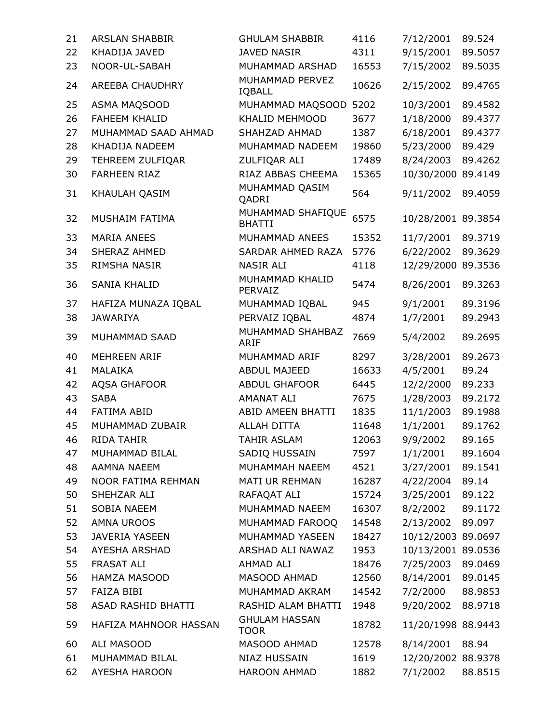| 21 | <b>ARSLAN SHABBIR</b> | <b>GHULAM SHABBIR</b>               | 4116  | 7/12/2001          | 89.524  |
|----|-----------------------|-------------------------------------|-------|--------------------|---------|
| 22 | KHADIJA JAVED         | <b>JAVED NASIR</b>                  | 4311  | 9/15/2001          | 89.5057 |
| 23 | NOOR-UL-SABAH         | MUHAMMAD ARSHAD                     | 16553 | 7/15/2002          | 89.5035 |
| 24 | AREEBA CHAUDHRY       | MUHAMMAD PERVEZ<br>IQBALL           | 10626 | 2/15/2002          | 89.4765 |
| 25 | ASMA MAQSOOD          | MUHAMMAD MAQSOOD                    | 5202  | 10/3/2001          | 89.4582 |
| 26 | <b>FAHEEM KHALID</b>  | KHALID MEHMOOD                      | 3677  | 1/18/2000          | 89.4377 |
| 27 | MUHAMMAD SAAD AHMAD   | SHAHZAD AHMAD                       | 1387  | 6/18/2001          | 89.4377 |
| 28 | KHADIJA NADEEM        | MUHAMMAD NADEEM                     | 19860 | 5/23/2000          | 89.429  |
| 29 | TEHREEM ZULFIQAR      | ZULFIQAR ALI                        | 17489 | 8/24/2003          | 89.4262 |
| 30 | <b>FARHEEN RIAZ</b>   | RIAZ ABBAS CHEEMA                   | 15365 | 10/30/2000 89.4149 |         |
| 31 | KHAULAH QASIM         | MUHAMMAD QASIM<br>QADRI             | 564   | 9/11/2002          | 89.4059 |
| 32 | MUSHAIM FATIMA        | MUHAMMAD SHAFIQUE<br><b>BHATTI</b>  | 6575  | 10/28/2001 89.3854 |         |
| 33 | <b>MARIA ANEES</b>    | MUHAMMAD ANEES                      | 15352 | 11/7/2001          | 89.3719 |
| 34 | SHERAZ AHMED          | SARDAR AHMED RAZA                   | 5776  | 6/22/2002          | 89.3629 |
| 35 | RIMSHA NASIR          | <b>NASIR ALI</b>                    | 4118  | 12/29/2000 89.3536 |         |
| 36 | SANIA KHALID          | MUHAMMAD KHALID<br>PERVAIZ          | 5474  | 8/26/2001          | 89.3263 |
| 37 | HAFIZA MUNAZA IQBAL   | MUHAMMAD IQBAL                      | 945   | 9/1/2001           | 89.3196 |
| 38 | <b>JAWARIYA</b>       | PERVAIZ IQBAL                       | 4874  | 1/7/2001           | 89.2943 |
| 39 | MUHAMMAD SAAD         | MUHAMMAD SHAHBAZ<br><b>ARIF</b>     | 7669  | 5/4/2002           | 89.2695 |
| 40 | <b>MEHREEN ARIF</b>   | MUHAMMAD ARIF                       | 8297  | 3/28/2001          | 89.2673 |
| 41 | MALAIKA               | ABDUL MAJEED                        | 16633 | 4/5/2001           | 89.24   |
| 42 | AQSA GHAFOOR          | <b>ABDUL GHAFOOR</b>                | 6445  | 12/2/2000          | 89.233  |
| 43 | <b>SABA</b>           | <b>AMANAT ALI</b>                   | 7675  | 1/28/2003          | 89.2172 |
| 44 | <b>FATIMA ABID</b>    | ABID AMEEN BHATTI                   | 1835  | 11/1/2003          | 89.1988 |
| 45 | MUHAMMAD ZUBAIR       | <b>ALLAH DITTA</b>                  | 11648 | 1/1/2001           | 89.1762 |
| 46 | <b>RIDA TAHIR</b>     | <b>TAHIR ASLAM</b>                  | 12063 | 9/9/2002           | 89.165  |
| 47 | MUHAMMAD BILAL        | SADIQ HUSSAIN                       | 7597  | 1/1/2001 89.1604   |         |
| 48 | <b>AAMNA NAEEM</b>    | MUHAMMAH NAEEM                      | 4521  | 3/27/2001          | 89.1541 |
| 49 | NOOR FATIMA REHMAN    | MATI UR REHMAN                      | 16287 | 4/22/2004          | 89.14   |
| 50 | SHEHZAR ALI           | RAFAQAT ALI                         | 15724 | 3/25/2001          | 89.122  |
| 51 | SOBIA NAEEM           | MUHAMMAD NAEEM                      | 16307 | 8/2/2002           | 89.1172 |
| 52 | <b>AMNA UROOS</b>     | MUHAMMAD FAROOQ                     | 14548 | 2/13/2002          | 89.097  |
| 53 | JAVERIA YASEEN        | MUHAMMAD YASEEN                     | 18427 | 10/12/2003 89.0697 |         |
| 54 | AYESHA ARSHAD         | ARSHAD ALI NAWAZ                    | 1953  | 10/13/2001 89.0536 |         |
| 55 | FRASAT ALI            | AHMAD ALI                           | 18476 | 7/25/2003          | 89.0469 |
| 56 | HAMZA MASOOD          | MASOOD AHMAD                        | 12560 | 8/14/2001          | 89.0145 |
| 57 | <b>FAIZA BIBI</b>     | MUHAMMAD AKRAM                      | 14542 | 7/2/2000           | 88.9853 |
| 58 | ASAD RASHID BHATTI    | RASHID ALAM BHATTI                  | 1948  | 9/20/2002          | 88.9718 |
| 59 | HAFIZA MAHNOOR HASSAN | <b>GHULAM HASSAN</b><br><b>TOOR</b> | 18782 | 11/20/1998 88.9443 |         |
| 60 | ALI MASOOD            | MASOOD AHMAD                        | 12578 | 8/14/2001          | 88.94   |
| 61 | MUHAMMAD BILAL        | <b>NIAZ HUSSAIN</b>                 | 1619  | 12/20/2002 88.9378 |         |
| 62 | AYESHA HAROON         | <b>HAROON AHMAD</b>                 | 1882  | 7/1/2002           | 88.8515 |